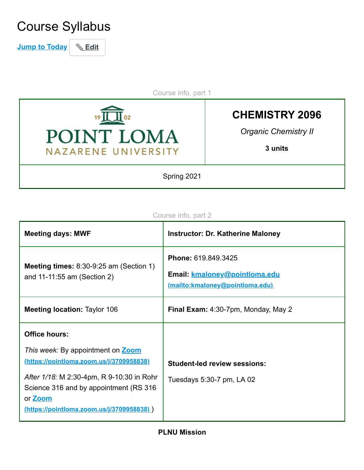# Course Syllabus

**Jump to Today & Edit** 

Course info, part 1



**CHEMISTRY 2096**

*Organic Chemistry II*

**3 units**

Spring 2021

#### Course info, part 2

| <b>Meeting days: MWF</b>                                                                                                                           | <b>Instructor: Dr. Katherine Maloney</b>                                                       |
|----------------------------------------------------------------------------------------------------------------------------------------------------|------------------------------------------------------------------------------------------------|
| <b>Meeting times:</b> $8:30-9:25$ am (Section 1)<br>and 11-11:55 am (Section 2)                                                                    | Phone: 619.849.3425<br>Email: kmaloney@pointloma.edu<br><u>(mailto:kmaloney@pointloma.edu)</u> |
| <b>Meeting location: Taylor 106</b>                                                                                                                | Final Exam: 4:30-7pm, Monday, May 2                                                            |
| <b>Office hours:</b>                                                                                                                               |                                                                                                |
| This week: By appointment on Zoom<br>(https://pointloma.zoom.us/j/3709958838)                                                                      | <b>Student-led review sessions:</b>                                                            |
| After 1/18: M 2:30-4pm, R 9-10:30 in Rohr<br>Science 316 and by appointment (RS 316)<br>or <b>Zoom</b><br>(https://pointloma.zoom.us/j/3709958838) | Tuesdays 5:30-7 pm, LA 02                                                                      |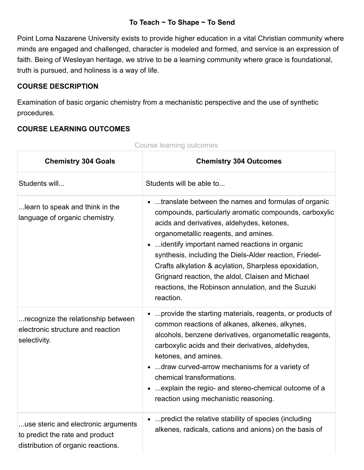#### **To Teach ~ To Shape ~ To Send**

Point Loma Nazarene University exists to provide higher education in a vital Christian community where minds are engaged and challenged, character is modeled and formed, and service is an expression of faith. Being of Wesleyan heritage, we strive to be a learning community where grace is foundational, truth is pursued, and holiness is a way of life.

#### **COURSE DESCRIPTION**

Examination of basic organic chemistry from a mechanistic perspective and the use of synthetic procedures.

#### **COURSE LEARNING OUTCOMES**

| <b>Chemistry 304 Goals</b>                                                                                   | <b>Chemistry 304 Outcomes</b>                                                                                                                                                                                                                                                                                                                                                                                                                                                                      |
|--------------------------------------------------------------------------------------------------------------|----------------------------------------------------------------------------------------------------------------------------------------------------------------------------------------------------------------------------------------------------------------------------------------------------------------------------------------------------------------------------------------------------------------------------------------------------------------------------------------------------|
| Students will                                                                                                | Students will be able to                                                                                                                                                                                                                                                                                                                                                                                                                                                                           |
| learn to speak and think in the<br>language of organic chemistry.                                            | • translate between the names and formulas of organic<br>compounds, particularly aromatic compounds, carboxylic<br>acids and derivatives, aldehydes, ketones,<br>organometallic reagents, and amines.<br>identify important named reactions in organic<br>synthesis, including the Diels-Alder reaction, Friedel-<br>Crafts alkylation & acylation, Sharpless epoxidation,<br>Grignard reaction, the aldol, Claisen and Michael<br>reactions, the Robinson annulation, and the Suzuki<br>reaction. |
| recognize the relationship between<br>electronic structure and reaction<br>selectivity.                      | provide the starting materials, reagents, or products of<br>common reactions of alkanes, alkenes, alkynes,<br>alcohols, benzene derivatives, organometallic reagents,<br>carboxylic acids and their derivatives, aldehydes,<br>ketones, and amines.<br>•  draw curved-arrow mechanisms for a variety of<br>chemical transformations.<br>explain the regio- and stereo-chemical outcome of a<br>reaction using mechanistic reasoning.                                                               |
| use steric and electronic arguments<br>to predict the rate and product<br>distribution of organic reactions. | •  predict the relative stability of species (including<br>alkenes, radicals, cations and anions) on the basis of                                                                                                                                                                                                                                                                                                                                                                                  |

Course learning outcomes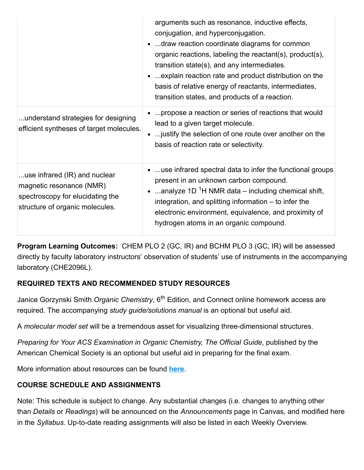|                                                                                                                                  | arguments such as resonance, inductive effects,<br>conjugation, and hyperconjugation.<br>draw reaction coordinate diagrams for common<br>organic reactions, labeling the reactant(s), product(s),<br>transition state(s), and any intermediates.<br>explain reaction rate and product distribution on the<br>basis of relative energy of reactants, intermediates,<br>transition states, and products of a reaction. |
|----------------------------------------------------------------------------------------------------------------------------------|----------------------------------------------------------------------------------------------------------------------------------------------------------------------------------------------------------------------------------------------------------------------------------------------------------------------------------------------------------------------------------------------------------------------|
| understand strategies for designing<br>efficient syntheses of target molecules.                                                  | propose a reaction or series of reactions that would<br>lead to a given target molecule.<br>justify the selection of one route over another on the<br>basis of reaction rate or selectivity.                                                                                                                                                                                                                         |
| use infrared (IR) and nuclear<br>magnetic resonance (NMR)<br>spectroscopy for elucidating the<br>structure of organic molecules. | use infrared spectral data to infer the functional groups<br>present in an unknown carbon compound.<br>analyze 1D $1H NMR$ data – including chemical shift,<br>integration, and splitting information – to infer the<br>electronic environment, equivalence, and proximity of<br>hydrogen atoms in an organic compound.                                                                                              |

**Program Learning Outcomes:** CHEM PLO 2 (GC, IR) and BCHM PLO 3 (GC, IR) will be assessed directly by faculty laboratory instructors' observation of students' use of instruments in the accompanying laboratory (CHE2096L).

# **REQUIRED TEXTS AND RECOMMENDED STUDY RESOURCES**

Janice Gorzynski Smith *Organic Chemistry*, 6<sup>th</sup> Edition, and Connect online homework access are required. The accompanying *study guide/solutions manual* is an optional but useful aid.

A *molecular model set* will be a tremendous asset for visualizing three-dimensional structures.

*Preparing for Your ACS Examination in Organic Chemistry, The Official Guide*, published by the American Chemical Society is an optional but useful aid in preparing for the final exam.

More information about resources can be found **[here](https://canvas.pointloma.edu/courses/60058/pages/course-materials)**.

# **COURSE SCHEDULE AND ASSIGNMENTS**

Note: This schedule is subject to change. Any substantial changes (i.e. changes to anything other than *Details* or *Readings*) will be announced on the *Announcements* page in Canvas, and modified here in the *Syllabus*. Up-to-date reading assignments will also be listed in each Weekly Overview.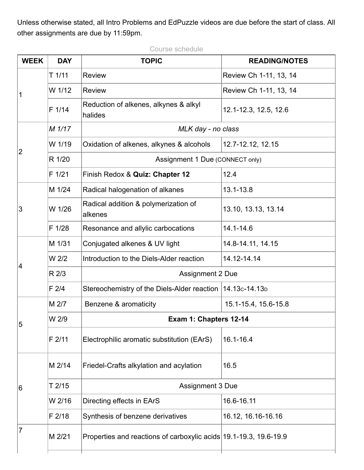Unless otherwise stated, all Intro Problems and EdPuzzle videos are due before the start of class. All other assignments are due by 11:59pm.

Course schedule

| <b>WEEK</b>             | <b>DAY</b> | <b>TOPIC</b>                                                      | <b>READING/NOTES</b>   |  |
|-------------------------|------------|-------------------------------------------------------------------|------------------------|--|
|                         | $T$ 1/11   | <b>Review</b>                                                     | Review Ch 1-11, 13, 14 |  |
| 1                       | W 1/12     | <b>Review</b>                                                     | Review Ch 1-11, 13, 14 |  |
|                         | F 1/14     | Reduction of alkenes, alkynes & alkyl<br>halides                  | 12.1-12.3, 12.5, 12.6  |  |
|                         | M 1/17     | MLK day - no class                                                |                        |  |
| $\overline{2}$          | W 1/19     | Oxidation of alkenes, alkynes & alcohols                          | 12.7-12.12, 12.15      |  |
|                         | R 1/20     | Assignment 1 Due (CONNECT only)                                   |                        |  |
|                         | F 1/21     | Finish Redox & Quiz: Chapter 12                                   | 12.4                   |  |
|                         | M 1/24     | Radical halogenation of alkanes                                   | 13.1-13.8              |  |
| 3                       | W 1/26     | Radical addition & polymerization of<br>alkenes                   | 13.10, 13.13, 13.14    |  |
|                         | F 1/28     | Resonance and allylic carbocations                                | 14.1-14.6              |  |
|                         | M 1/31     | Conjugated alkenes & UV light                                     | 14.8-14.11, 14.15      |  |
| $\overline{4}$          | W 2/2      | Introduction to the Diels-Alder reaction                          | 14.12-14.14            |  |
|                         | R 2/3      | <b>Assignment 2 Due</b>                                           |                        |  |
|                         | F2/4       | Stereochemistry of the Diels-Alder reaction                       | $14.13c - 14.13d$      |  |
|                         | M 2/7      | Benzene & aromaticity                                             | 15.1-15.4, 15.6-15.8   |  |
| W 2/9<br>$\overline{5}$ |            | Exam 1: Chapters 12-14                                            |                        |  |
|                         | F 2/11     | Electrophilic aromatic substitution (EArS)                        | 16.1-16.4              |  |
|                         | M 2/14     | Friedel-Crafts alkylation and acylation                           | 16.5                   |  |
| 6                       | T 2/15     | <b>Assignment 3 Due</b>                                           |                        |  |
|                         | W 2/16     | Directing effects in EArS                                         | 16.6-16.11             |  |
|                         | $F$ 2/18   | Synthesis of benzene derivatives                                  | 16.12, 16.16-16.16     |  |
| $\overline{7}$          | M 2/21     | Properties and reactions of carboxylic acids 19.1-19.3, 19.6-19.9 |                        |  |
|                         |            |                                                                   |                        |  |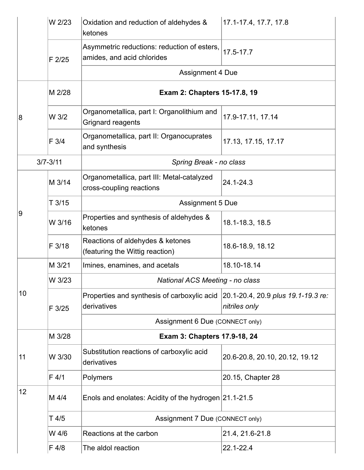|    | W 2/23       | Oxidation and reduction of aldehydes &<br>ketones                         | 17.1-17.4, 17.7, 17.8                               |
|----|--------------|---------------------------------------------------------------------------|-----------------------------------------------------|
|    | $F$ 2/25     | Asymmetric reductions: reduction of esters,<br>amides, and acid chlorides | 17.5-17.7                                           |
|    |              | <b>Assignment 4 Due</b>                                                   |                                                     |
|    | M 2/28       | Exam 2: Chapters 15-17.8, 19                                              |                                                     |
| 8  | W 3/2        | Organometallica, part I: Organolithium and<br>Grignard reagents           | 17.9-17.11, 17.14                                   |
|    | F 3/4        | Organometallica, part II: Organocuprates<br>and synthesis                 | 17.13, 17.15, 17.17                                 |
|    | $3/7 - 3/11$ | Spring Break - no class                                                   |                                                     |
|    | M 3/14       | Organometallica, part III: Metal-catalyzed<br>cross-coupling reactions    | 24.1-24.3                                           |
|    | T3/15        | <b>Assignment 5 Due</b>                                                   |                                                     |
| 9  | W 3/16       | Properties and synthesis of aldehydes &<br>ketones                        | 18.1-18.3, 18.5                                     |
|    | F 3/18       | Reactions of aldehydes & ketones<br>(featuring the Wittig reaction)       | 18.6-18.9, 18.12                                    |
|    | M 3/21       | Imines, enamines, and acetals                                             | 18.10-18.14                                         |
|    | W 3/23       | <b>National ACS Meeting - no class</b>                                    |                                                     |
| 10 | F 3/25       | Properties and synthesis of carboxylic acid<br>derivatives                | 20.1-20.4, 20.9 plus 19.1-19.3 re:<br>nitriles only |
|    |              | Assignment 6 Due (CONNECT only)                                           |                                                     |
|    | M 3/28       | Exam 3: Chapters 17.9-18, 24                                              |                                                     |
| 11 | W 3/30       | Substitution reactions of carboxylic acid<br>derivatives                  | 20.6-20.8, 20.10, 20.12, 19.12                      |
|    | F 4/1        | Polymers                                                                  | 20.15, Chapter 28                                   |
| 12 | M 4/4        | Enols and enolates: Acidity of the hydrogen 21.1-21.5                     |                                                     |
|    | T 4/5        | Assignment 7 Due (CONNECT only)                                           |                                                     |
|    | W 4/6        | Reactions at the carbon                                                   | 21.4, 21.6-21.8                                     |
|    | F 4/8        | The aldol reaction                                                        | 22.1-22.4                                           |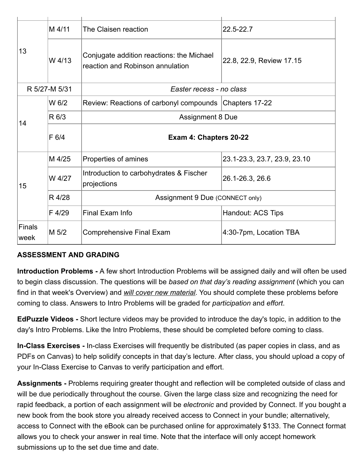|                       | M 4/11        | The Claisen reaction                                                          | 22.5-22.7                    |  |
|-----------------------|---------------|-------------------------------------------------------------------------------|------------------------------|--|
| 13                    | W 4/13        | Conjugate addition reactions: the Michael<br>reaction and Robinson annulation | 22.8, 22.9, Review 17.15     |  |
|                       | R 5/27-M 5/31 | Easter recess - no class                                                      |                              |  |
|                       | W 6/2         | Review: Reactions of carbonyl compounds Chapters 17-22                        |                              |  |
| 14                    | R 6/3         | <b>Assignment 8 Due</b>                                                       |                              |  |
|                       | F 6/4         | Exam 4: Chapters 20-22                                                        |                              |  |
|                       | M 4/25        | Properties of amines                                                          | 23.1-23.3, 23.7, 23.9, 23.10 |  |
| 15                    | W 4/27        | Introduction to carbohydrates & Fischer<br>projections                        | 26.1-26.3, 26.6              |  |
|                       | R 4/28        | Assignment 9 Due (CONNECT only)                                               |                              |  |
|                       | F 4/29        | Final Exam Info                                                               | Handout: ACS Tips            |  |
| <b>Finals</b><br>week | M 5/2         | <b>Comprehensive Final Exam</b>                                               | 4:30-7pm, Location TBA       |  |

#### **ASSESSMENT AND GRADING**

**Introduction Problems -** A few short Introduction Problems will be assigned daily and will often be used to begin class discussion. The questions will be *based on that day's reading assignment* (which you can find in that week's Overview) and *will cover new material*. You should complete these problems before coming to class. Answers to Intro Problems will be graded for *participation* and *effort*.

**EdPuzzle Videos -** Short lecture videos may be provided to introduce the day's topic, in addition to the day's Intro Problems. Like the Intro Problems, these should be completed before coming to class.

**In-Class Exercises -** In-class Exercises will frequently be distributed (as paper copies in class, and as PDFs on Canvas) to help solidify concepts in that day's lecture. After class, you should upload a copy of your In-Class Exercise to Canvas to verify participation and effort.

**Assignments -** Problems requiring greater thought and reflection will be completed outside of class and will be due periodically throughout the course. Given the large class size and recognizing the need for rapid feedback, a portion of each assignment will be *electronic* and provided by Connect. If you bought a new book from the book store you already received access to Connect in your bundle; alternatively, access to Connect with the eBook can be purchased online for approximately \$133. The Connect format allows you to check your answer in real time. Note that the interface will only accept homework submissions up to the set due time and date.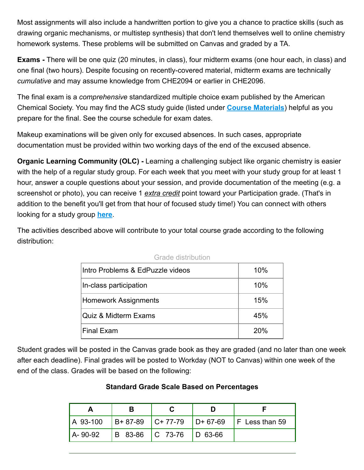Most assignments will also include a handwritten portion to give you a chance to practice skills (such as drawing organic mechanisms, or multistep synthesis) that don't lend themselves well to online chemistry homework systems. These problems will be submitted on Canvas and graded by a TA.

**Exams -** There will be one quiz (20 minutes, in class), four midterm exams (one hour each, in class) and one final (two hours). Despite focusing on recently-covered material, midterm exams are technically *cumulative* and may assume knowledge from CHE2094 or earlier in CHE2096.

The final exam is a *comprehensive* standardized multiple choice exam published by the American Chemical Society. You may find the ACS study guide (listed under **[Course Materials](https://canvas.pointloma.edu/courses/60058/pages/course-materials)**) helpful as you prepare for the final. See the course schedule for exam dates.

Makeup examinations will be given only for excused absences. In such cases, appropriate documentation must be provided within two working days of the end of the excused absence.

**Organic Learning Community (OLC) - Learning a challenging subject like organic chemistry is easier** with the help of a regular study group. For each week that you meet with your study group for at least 1 hour, answer a couple questions about your session, and provide documentation of the meeting (e.g. a screenshot or photo), you can receive 1 *extra credit* point toward your Participation grade. (That's in addition to the benefit you'll get from that hour of focused study time!) You can connect with others looking for a study group **[here](https://canvas.pointloma.edu/courses/60058/pages/organic-learning-community-study-group-sign-up-page)**.

The activities described above will contribute to your total course grade according to the following distribution:

| Intro Problems & EdPuzzle videos | 10% |
|----------------------------------|-----|
| In-class participation           | 10% |
| <b>Homework Assignments</b>      | 15% |
| Quiz & Midterm Exams             | 45% |
| Final Exam                       | 20% |

| Grade distribution |  |  |
|--------------------|--|--|
|--------------------|--|--|

Student grades will be posted in the Canvas grade book as they are graded (and no later than one week after each deadline). Final grades will be posted to Workday (NOT to Canvas) within one week of the end of the class. Grades will be based on the following:

#### **Standard Grade Scale Based on Percentages**

|            |                             | A 93-100 B+ 87-89 C+ 77-79 D+ 67-69 F Less than 59 |
|------------|-----------------------------|----------------------------------------------------|
| l A- 90-92 | B 83-86   C 73-76   D 63-66 |                                                    |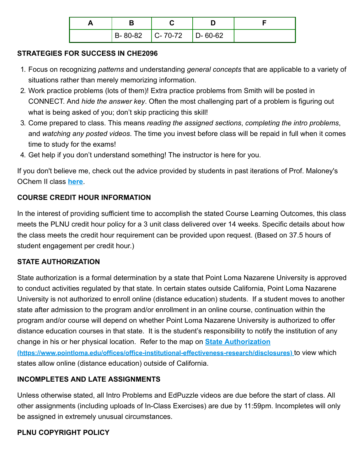|  | $\vert$ B-80-82 $\vert$ C-70-72 $\vert$ D-60-62 |  |
|--|-------------------------------------------------|--|

#### **STRATEGIES FOR SUCCESS IN CHE2096**

- 1. Focus on recognizing *patterns* and understanding *general concepts* that are applicable to a variety of situations rather than merely memorizing information.
- 2. Work practice problems (lots of them)! Extra practice problems from Smith will be posted in CONNECT. And *hide the answer key*. Often the most challenging part of a problem is figuring out what is being asked of you; don't skip practicing this skill!
- 3. Come prepared to class. This means *reading the assigned sections*, *completing the intro problems*, and *watching any posted videos*. The time you invest before class will be repaid in full when it comes time to study for the exams!
- 4. Get help if you don't understand something! The instructor is here for you.

If you don't believe me, check out the advice provided by students in past iterations of Prof. Maloney's OChem II class **[here](https://canvas.pointloma.edu/courses/60058/pages/advice-from-recent-students-in-maloneys-ochem-ii-class)**.

### **COURSE CREDIT HOUR INFORMATION**

In the interest of providing sufficient time to accomplish the stated Course Learning Outcomes, this class meets the PLNU credit hour policy for a 3 unit class delivered over 14 weeks. Specific details about how the class meets the credit hour requirement can be provided upon request. (Based on 37.5 hours of student engagement per credit hour.)

#### **STATE AUTHORIZATION**

State authorization is a formal determination by a state that Point Loma Nazarene University is approved to conduct activities regulated by that state. In certain states outside California, Point Loma Nazarene University is not authorized to enroll online (distance education) students. If a student moves to another state after admission to the program and/or enrollment in an online course, continuation within the program and/or course will depend on whether Point Loma Nazarene University is authorized to offer distance education courses in that state. It is the student's responsibility to notify the institution of any change in his or her physical location. Refer to the map on **State Authorization [\(https://www.pointloma.edu/offices/office-institutional-effectiveness-research/disclosures\)](https://www.pointloma.edu/offices/office-institutional-effectiveness-research/disclosures)** to view which states allow online (distance education) outside of California.

# **INCOMPLETES AND LATE ASSIGNMENTS**

Unless otherwise stated, all Intro Problems and EdPuzzle videos are due before the start of class. All other assignments (including uploads of In-Class Exercises) are due by 11:59pm. Incompletes will only be assigned in extremely unusual circumstances.

#### **PLNU COPYRIGHT POLICY**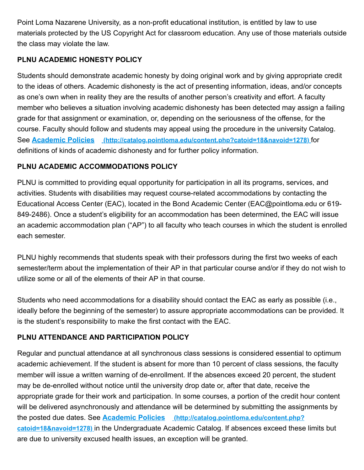Point Loma Nazarene University, as a non-profit educational institution, is entitled by law to use materials protected by the US Copyright Act for classroom education. Any use of those materials outside the class may violate the law.

### **PLNU ACADEMIC HONESTY POLICY**

Students should demonstrate academic honesty by doing original work and by giving appropriate credit to the ideas of others. Academic dishonesty is the act of presenting information, ideas, and/or concepts as one's own when in reality they are the results of another person's creativity and effort. A faculty member who believes a situation involving academic dishonesty has been detected may assign a failing grade for that assignment or examination, or, depending on the seriousness of the offense, for the course. Faculty should follow and students may appeal using the procedure in the university Catalog. See **Academic Policies [\(http://catalog.pointloma.edu/content.php?catoid=18&navoid=1278\)](http://catalog.pointloma.edu/content.php?catoid=18&navoid=1278)** for definitions of kinds of academic dishonesty and for further policy information.

### **PLNU ACADEMIC ACCOMMODATIONS POLICY**

PLNU is committed to providing equal opportunity for participation in all its programs, services, and activities. Students with disabilities may request course-related accommodations by contacting the Educational Access Center (EAC), located in the Bond Academic Center (EAC@pointloma.edu or 619- 849-2486). Once a student's eligibility for an accommodation has been determined, the EAC will issue an academic accommodation plan ("AP") to all faculty who teach courses in which the student is enrolled each semester.

PLNU highly recommends that students speak with their professors during the first two weeks of each semester/term about the implementation of their AP in that particular course and/or if they do not wish to utilize some or all of the elements of their AP in that course.

Students who need accommodations for a disability should contact the EAC as early as possible (i.e., ideally before the beginning of the semester) to assure appropriate accommodations can be provided. It is the student's responsibility to make the first contact with the EAC.

# **PLNU ATTENDANCE AND PARTICIPATION POLICY**

Regular and punctual attendance at all synchronous class sessions is considered essential to optimum academic achievement. If the student is absent for more than 10 percent of class sessions, the faculty member will issue a written warning of de-enrollment. If the absences exceed 20 percent, the student may be de-enrolled without notice until the university drop date or, after that date, receive the appropriate grade for their work and participation. In some courses, a portion of the credit hour content will be delivered asynchronously and attendance will be determined by submitting the assignments by the posted due dates. See **Academic Policies (http://catalog.pointloma.edu/content.php? catoid=18&navoid=1278)** [in the Undergraduate Academic Catalog. If absences exceed these](http://catalog.pointloma.edu/content.php?catoid=18&navoid=1278) limits but are due to university excused health issues, an exception will be granted.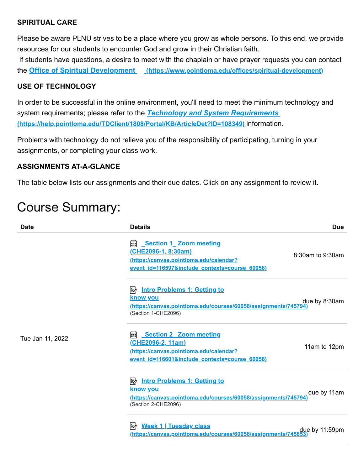#### **SPIRITUAL CARE**

Please be aware PLNU strives to be a place where you grow as whole persons. To this end, we provide resources for our students to encounter God and grow in their Christian faith. If students have questions, a desire to meet with the chaplain or have prayer requests you can contact

the **Office of Spiritual Development [\(https://www.pointloma.edu/offices/spiritual-development\)](https://www.pointloma.edu/offices/spiritual-development)**

#### **USE OF TECHNOLOGY**

In order to be successful in the online environment, you'll need to meet the minimum technology and system requirements; please refer to the *Technology and System Requirements*  **[\(https://help.pointloma.edu/TDClient/1808/Portal/KB/ArticleDet?ID=108349\)](https://help.pointloma.edu/TDClient/1808/Portal/KB/ArticleDet?ID=108349)** information.

Problems with technology do not relieve you of the responsibility of participating, turning in your assignments, or completing your class work.

#### **ASSIGNMENTS AT-A-GLANCE**

The table below lists our assignments and their due dates. Click on any assignment to review it.

# Course Summary:

| <b>Date</b>      | <b>Details</b>                                                                                                                                                  | <b>Due</b>       |
|------------------|-----------------------------------------------------------------------------------------------------------------------------------------------------------------|------------------|
| Tue Jan 11, 2022 | <b>empths Section 1 Zoom meeting</b><br><u>(CHE2096-1, 8:30am)</u><br>(https://canvas.pointloma.edu/calendar?<br>event id=116597&include contexts=course 60058) | 8:30am to 9:30am |
|                  | <b>E</b> Intro Problems 1: Getting to<br><u>know you</u><br>(https://canvas.pointloma.edu/courses/60058/assignments/745794)<br>(Section 1-CHE2096)              | due by 8:30am    |
|                  | <b>Section 2 Zoom meeting</b><br>酾<br><u>(CHE2096-2, 11am)</u><br>(https://canvas.pointloma.edu/calendar?<br>event id=116601&include contexts=course 60058)     | 11am to 12pm     |
|                  | <b>E</b> Intro Problems 1: Getting to<br><u>know you</u><br>(https://canvas.pointloma.edu/courses/60058/assignments/745794)<br>(Section 2-CHE2096)              | due by 11am      |
|                  | (https://canvas.pointloma.edu/courses/60058/assignments/745853                                                                                                  | due by 11:59pm   |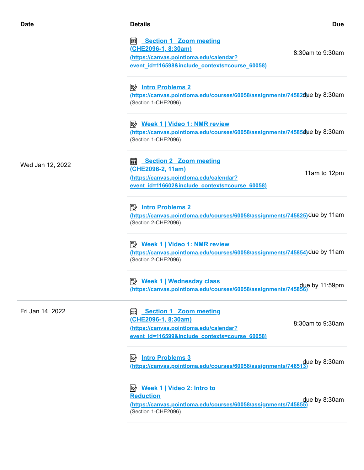| <b>Date</b>      | <b>Details</b>                                                                                                                                                | <b>Due</b>       |
|------------------|---------------------------------------------------------------------------------------------------------------------------------------------------------------|------------------|
|                  | <b>Section 1 Zoom meeting</b><br>酾<br><u>(CHE2096-1, 8:30am)</u><br>(https://canvas.pointloma.edu/calendar?<br>event id=116598&include contexts=course 60058) | 8:30am to 9:30am |
|                  | <u>Intro Problems 2</u><br>https://canvas.pointloma.edu/courses/60058/assignments/74582due by 8:30am<br>(Section 1-CHE2096)                                   |                  |
|                  | <u>≫ Week 1   Video 1: NMR review</u><br>https://canvas.pointloma.edu/courses/60058/assignments/74585due by 8:30am<br>(Section 1-CHE2096)                     |                  |
| Wed Jan 12, 2022 | <b>Section 2 Zoom meeting</b><br>酾<br><u>(CHE2096-2, 11am)</u><br>(https://canvas.pointloma.edu/calendar?<br>event id=116602&include contexts=course 60058)   | 11am to 12pm     |
|                  | <u>Intro Problems 2</u><br>(https://canvas.pointloma.edu/courses/60058/assignments/745825)due by 11am<br>(Section 2-CHE2096)                                  |                  |
|                  | <u>≫ Week 1   Video 1: NMR review</u><br>https://canvas.pointloma.edu/courses/60058/assignments/745854)due by 11am<br>(Section 2-CHE2096)                     |                  |
|                  | 吟<br><b>Week 1   Wednesday class</b><br>due by 11:59pm .<br><u>(https://canvas.pointloma.edu/courses/60058/assignments/745856)</u>                            |                  |
| Fri Jan 14, 2022 | <b>Section 1 Zoom meeting</b><br><u>(CHE2096-1, 8:30am)</u><br>(https://canvas.pointloma.edu/calendar?<br>event id=116599&include contexts=course 60058)      | 8:30am to 9:30am |
|                  | <b>Intro Problems 3</b><br>彫<br>due by 8:30am (https://canvas.pointloma.edu/courses/60058/assignments/746513)                                                 |                  |
|                  | <b>Reduction</b><br>(https://canvas.pointloma.edu/courses/60058/assignments/745855)<br>(Section 1-CHE2096)                                                    | due by 8:30am    |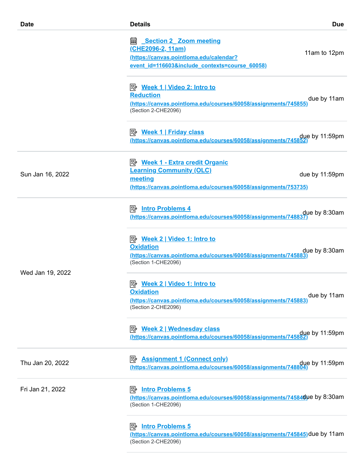| <b>Date</b>      | <b>Details</b>                                                                                                                                              | <b>Due</b>     |
|------------------|-------------------------------------------------------------------------------------------------------------------------------------------------------------|----------------|
|                  | <b>Section 2 Zoom meeting</b><br>酾<br><u>(CHE2096-2, 11am)</u><br>(https://canvas.pointloma.edu/calendar?<br>event id=116603&include contexts=course 60058) | 11am to 12pm   |
|                  | <b>Reduction</b><br>(https://canvas.pointloma.edu/courses/60058/assignments/745855)<br>(Section 2-CHE2096)                                                  | due by 11am    |
|                  | <u>≫ Week 1   Friday class</u><br>due by 11:59pm .<br><u>(https://canvas.pointloma.edu/courses/60058/assignments/745852)</u>                                |                |
| Sun Jan 16, 2022 | <b>Learning Community (OLC)</b><br>meeting<br>(https://canvas.pointloma.edu/courses/60058/assignments/753735)                                               | due by 11:59pm |
| Wed Jan 19, 2022 | <u>(https://canvas.pointloma.edu/courses/60058/assignments/748837)</u>                                                                                      |                |
|                  | <u>≫ Week 2   Video 1: Intro to</u><br><b>Oxidation</b><br>(https://canvas.pointloma.edu/courses/60058/assignments/745883)<br>(Section 1-CHE2096)           | due by 8:30am  |
|                  | <b>Oxidation</b><br>(https://canvas.pointloma.edu/courses/60058/assignments/745883)<br>(Section 2-CHE2096)                                                  | due by 11am    |
|                  | <b>B</b> Week 2   Wednesday class<br>due by 11:59pm<br>https://canvas.pointloma.edu/courses/60058/assignments/745882)                                       |                |
| Thu Jan 20, 2022 | <b>Assignment 1 (Connect only)</b><br>彫<br>due by 11:59pm<br>https://canvas.pointloma.edu/courses/60058/assignments/748804)                                 |                |
| Fri Jan 21, 2022 | <b>Intro Problems 5</b><br>吟<br>https://canvas.pointloma.edu/courses/60058/assignments/74584due by 8:30am<br>(Section 1-CHE2096)                            |                |
|                  | <b>Intro Problems 5</b><br>⊯≽<br>(https://canvas.pointloma.edu/courses/60058/assignments/745845)due by 11am<br>(Section 2-CHE2096)                          |                |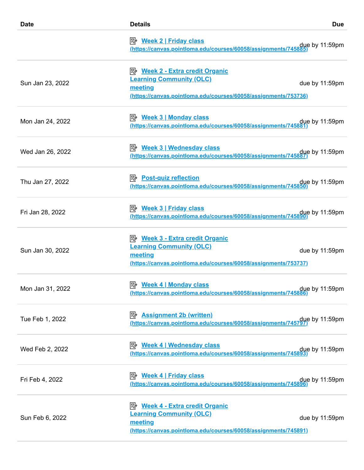| <b>Date</b>      | <b>Details</b>                                                                                                                                          | <b>Due</b>     |
|------------------|---------------------------------------------------------------------------------------------------------------------------------------------------------|----------------|
|                  | due by 11:59pm <u>(https://canvas.pointIoma.edu/courses/60058/assignments/745885)</u>                                                                   |                |
| Sun Jan 23, 2022 | <b>B</b> Week 2 - Extra credit Organic<br><b>Learning Community (OLC)</b><br>meeting<br>(https://canvas.pointloma.edu/courses/60058/assignments/753736) | due by 11:59pm |
| Mon Jan 24, 2022 | due by 11:59pm.<br><u>(https://canvas.pointIoma.edu/courses/60058/assignments/745881)</u>                                                               |                |
| Wed Jan 26, 2022 | <b>B</b> Week 3   Wednesday class<br>due by 11:59pm (https://canvas.pointloma.edu/courses/60058/assignments/745887)                                     |                |
| Thu Jan 27, 2022 | <b>B</b> Post-quiz reflection<br>due by 11:59pm.// <u>https://canvas.pointIoma.edu/courses/60058/assignments/745850</u>                                 |                |
| Fri Jan 28, 2022 | due by 11:59pm.<br><u>(https://canvas.pointloma.edu/courses/60058/assignments/745890)</u>                                                               |                |
| Sun Jan 30, 2022 | <b>B</b> Week 3 - Extra credit Organic<br><b>Learning Community (OLC)</b><br>meeting<br>(https://canvas.pointloma.edu/courses/60058/assignments/753737) | due by 11:59pm |
| Mon Jan 31, 2022 | due by 11:59pm<br>https://canvas.pointloma.edu/courses/60058/assignments/745886)                                                                        |                |
| Tue Feb 1, 2022  | <b>B</b> Assignment 2b (written)<br>due by 11:59pm (https://canvas.pointloma.edu/courses/60058/assignments/745797)                                      |                |
| Wed Feb 2, 2022  | P <sup>b</sup> Week 4   Wednesday class<br>due by 11:59pm<br><u>(https://canvas.pointloma.edu/courses/60058/assignments/745893)</u>                     |                |
| Fri Feb 4, 2022  | <u>≫ Week 4   Friday class</u><br>due by 11:59pm <u>(https://canvas.pointIoma.edu/courses/60058/assignments/745896)</u>                                 |                |
| Sun Feb 6, 2022  | <b>B</b> Week 4 - Extra credit Organic<br><b>Learning Community (OLC)</b><br>meeting<br>(https://canvas.pointloma.edu/courses/60058/assignments/745891) | due by 11:59pm |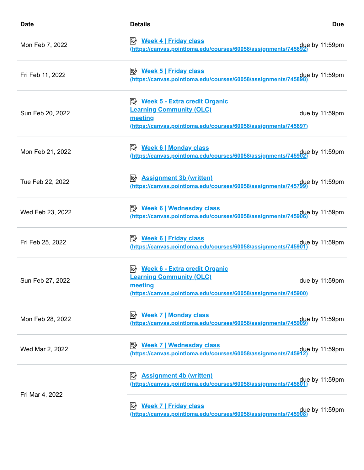| <b>Date</b>      | <b>Details</b>                                                                                                                                                                                                       | <b>Due</b>     |
|------------------|----------------------------------------------------------------------------------------------------------------------------------------------------------------------------------------------------------------------|----------------|
| Mon Feb 7, 2022  | due by 11:59pm due to the these formulations.<br>https://canvas.pointloma.edu/courses/60058/assignments/745892)                                                                                                      |                |
| Fri Feb 11, 2022 | due by 11:59pm.//https://canvas.pointloma.edu/courses/60058/assignments/745898.                                                                                                                                      |                |
| Sun Feb 20, 2022 | <b>B</b> Week 5 - Extra credit Organic<br><b>Learning Community (OLC)</b><br>meeting<br>(https://canvas.pointloma.edu/courses/60058/assignments/745897)                                                              | due by 11:59pm |
| Mon Feb 21, 2022 | <b>B</b> Week 6   Monday class<br>due by 11:59pm due to the these of the same of the series of the series of the series of the series of the seri<br>Methos://canvas.pointloma.edu/courses/60058/assignments/745902) |                |
| Tue Feb 22, 2022 | <b>B</b> Assignment 3b (written)<br>due by 11:59pm<br>https://canvas.pointloma.edu/courses/60058/assignments/745799)                                                                                                 |                |
| Wed Feb 23, 2022 | due by 11:59pm<br>https://canvas.pointloma.edu/courses/60058/assignments/745906)                                                                                                                                     |                |
| Fri Feb 25, 2022 | due by 11:59pm.//https://canvas.pointloma.edu/courses/60058/assignments/745901.https://canvas.pointloma.edu/                                                                                                         |                |
| Sun Feb 27, 2022 | <b>B</b> Week 6 - Extra credit Organic<br><b>Learning Community (OLC)</b><br>meeting<br>(https://canvas.pointloma.edu/courses/60058/assignments/745900)                                                              | due by 11:59pm |
| Mon Feb 28, 2022 | <u> <i>Week 7</i>   Monday class</u><br>due by 11:59pm.//https://canvas.pointloma.edu/courses/60058/assignments/745909                                                                                               |                |
| Wed Mar 2, 2022  | due by 11:59pm<br>https://canvas.pointloma.edu/courses/60058/assignments/745912)                                                                                                                                     |                |
| Fri Mar 4, 2022  | <b>Assignment 4b (written)</b><br>ぽん<br>due by 11:59pm<br>https://canvas.pointloma.edu/courses/60058/assignments/745801)                                                                                             |                |
|                  | due by 11:59pm (https://canvas.pointloma.edu/courses/60058/assignments/745908)                                                                                                                                       |                |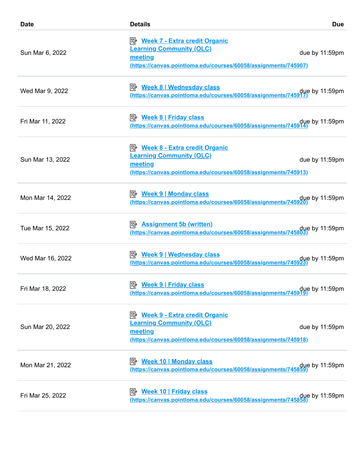| <b>Date</b>      | <b>Details</b>                                                                                                                                                | <b>Due</b>     |
|------------------|---------------------------------------------------------------------------------------------------------------------------------------------------------------|----------------|
| Sun Mar 6, 2022  | P <sup>2</sup> Week 7 - Extra credit Organic<br><b>Learning Community (OLC)</b><br>meeting<br>(https://canvas.pointloma.edu/courses/60058/assignments/745907) | due by 11:59pm |
| Wed Mar 9, 2022  | <b>Week 8   Wednesday class</b><br>due by 11:59pm due thttps://canvas.pointloma.edu/courses/60058/assignments/745917)                                         |                |
| Fri Mar 11, 2022 | <b>B</b> Week 8   Friday class<br>(https://canvas.pointloma.edu/courses/60058/assignments/745914)                                                             | due by 11:59pm |
| Sun Mar 13, 2022 | <b>E</b> Week 8 - Extra credit Organic<br><b>Learning Community (OLC)</b><br>meeting<br>(https://canvas.pointloma.edu/courses/60058/assignments/745913)       | due by 11:59pm |
| Mon Mar 14, 2022 | due by 11:59pm.<br><u>(https://canvas.pointloma.edu/courses/60058/assignments/745920)</u>                                                                     |                |
| Tue Mar 15, 2022 | <b>B</b> Assignment 5b (written)<br>due by 11:59pm<br><u>(https://canvas.pointloma.edu/courses/60058/assignments/745803)</u>                                  |                |
| Wed Mar 16, 2022 | P <sup>2</sup> Week 9   Wednesday class<br>due by 11:59pm<br>https://canvas.pointloma.edu/courses/60058/assignments/745923)                                   |                |
| Fri Mar 18, 2022 | due by 11:59pm due thttps://canvas.pointloma.edu/courses/60058/assignments/745919)                                                                            |                |
| Sun Mar 20, 2022 | <b>B</b> Week 9 - Extra credit Organic<br><b>Learning Community (OLC)</b><br>meeting<br>(https://canvas.pointloma.edu/courses/60058/assignments/745918)       | due by 11:59pm |
| Mon Mar 21, 2022 | <b>Week 10   Monday class</b><br>眕<br>due by 11:59pm due to the thes://canvas.pointloma.edu/courses/60058/assignments/745859)                                 |                |
| Fri Mar 25, 2022 | <u> ② Week 10   Friday class</u><br>due by 11:59pm <u>(https://canvas.pointIoma.edu/courses/60058/assignments/745858)</u>                                     |                |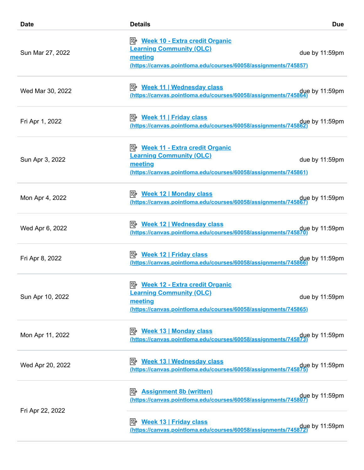| <b>Date</b>      | <b>Details</b>                                                                                                                                           | <b>Due</b>     |
|------------------|----------------------------------------------------------------------------------------------------------------------------------------------------------|----------------|
| Sun Mar 27, 2022 | <b>E</b> Week 10 - Extra credit Organic<br><b>Learning Community (OLC)</b><br>meeting<br>(https://canvas.pointloma.edu/courses/60058/assignments/745857) | due by 11:59pm |
| Wed Mar 30, 2022 | due by 11:59pm<br>https://canvas.pointloma.edu/courses/60058/assignments/745864)                                                                         |                |
| Fri Apr 1, 2022  | due by 11:59pm <u>(https://canvas.pointloma.edu/courses/60058/assignments/745862)</u>                                                                    |                |
| Sun Apr 3, 2022  | <b>B</b> Week 11 - Extra credit Organic<br><b>Learning Community (OLC)</b><br>meeting<br>(https://canvas.pointloma.edu/courses/60058/assignments/745861) | due by 11:59pm |
| Mon Apr 4, 2022  | due by 11:59pm.<br><u>(https://canvas.pointIoma.edu/courses/60058/assignments/745867)</u>                                                                |                |
| Wed Apr 6, 2022  | <b>B</b> Week 12   Wednesday class<br>due by 11:59pm<br>https://canvas.pointloma.edu/courses/60058/assignments/745870)                                   |                |
| Fri Apr 8, 2022  | <b>E</b> Week 12   Friday class<br>due by 11:59pm <u>(https://canvas.pointIoma.edu/courses/60058/assignments/745866)</u>                                 |                |
| Sun Apr 10, 2022 | <b>Learning Community (OLC)</b><br>meeting<br>(https://canvas.pointloma.edu/courses/60058/assignments/745865)                                            | due by 11:59pm |
| Mon Apr 11, 2022 | <u> <i>Week</i> 13   Monday class</u><br>due by 11:59pm.// <u>https://canvas.pointIoma.edu/courses/60058/assignments/745873</u>                          |                |
| Wed Apr 20, 2022 | <b>E</b> <u>Week 13   Wednesday class</u><br>due by 11:59pm<br>https://canvas.pointloma.edu/courses/60058/assignments/745875)                            |                |
| Fri Apr 22, 2022 | <b>B</b> Assignment 8b (written)<br>due by 11:59pm<br><u>(https://canvas.pointloma.edu/courses/60058/assignments/745807)</u>                             |                |
|                  | <b>B</b> Week 13   Friday class<br>due by 11:59pm.<br><u>(https://canvas.pointloma.edu/courses/60058/assignments/745872)</u>                             |                |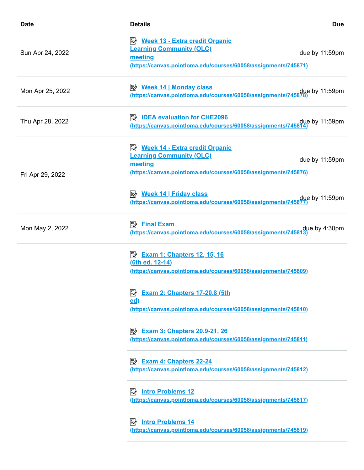| <b>Date</b>      | <b>Details</b>                                                                                                                                                  | <b>Due</b>     |
|------------------|-----------------------------------------------------------------------------------------------------------------------------------------------------------------|----------------|
| Sun Apr 24, 2022 | <b>E</b> Week 13 - Extra credit Organic<br><b>Learning Community (OLC)</b><br>meeting<br><u>(https://canvas.pointloma.edu/courses/60058/assignments/745871)</u> | due by 11:59pm |
| Mon Apr 25, 2022 | due by 11:59pm.// <u>https://canvas.pointIoma.edu/courses/60058/assignments/745878</u>                                                                          |                |
| Thu Apr 28, 2022 | <b>E</b> IDEA evaluation for CHE2096<br>due by 11:59pm due thttps://canvas.pointloma.edu/courses/60058/assignments/745814)                                      |                |
| Fri Apr 29, 2022 | <b>E</b> Week 14 - Extra credit Organic<br><b>Learning Community (OLC)</b><br>meeting<br>(https://canvas.pointloma.edu/courses/60058/assignments/745876)        | due by 11:59pm |
|                  | (https://canvas.pointloma.edu/courses/60058/assignments/74587)                                                                                                  | due by 11:59pm |
| Mon May 2, 2022  | <b><i>B</i></b> Final Exam<br>due by 4:30pm <u>(https://canvas.pointloma.edu/courses/60058/assignments/745813)</u>                                              |                |
|                  | <b>B</b> Exam 1: Chapters 12, 15, 16<br><u>(6th ed. 12-14)</u><br>(https://canvas.pointloma.edu/courses/60058/assignments/745809)                               |                |
|                  | <b>Exam 2: Chapters 17-20.8 (5th</b><br>零<br>$ed$<br>(https://canvas.pointloma.edu/courses/60058/assignments/745810)                                            |                |
|                  | <b>B</b> Exam 3: Chapters 20.9-21, 26<br>(https://canvas.pointloma.edu/courses/60058/assignments/745811)                                                        |                |
|                  | <u> <sub>Exam</sub> 4: Chapters 22-24</u><br>(https://canvas.pointloma.edu/courses/60058/assignments/745812)                                                    |                |
|                  | <b>Intro Problems 12</b><br>眕<br>(https://canvas.pointloma.edu/courses/60058/assignments/745817)                                                                |                |
|                  | (https://canvas.pointloma.edu/courses/60058/assignments/745819)                                                                                                 |                |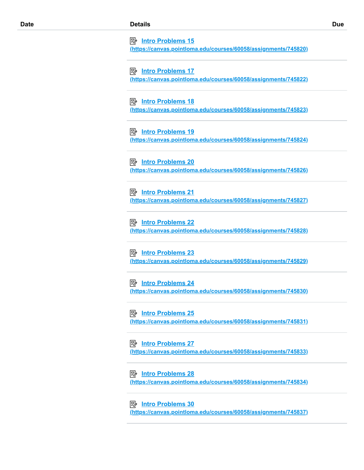**Intro Problems 15**

**[\(https://canvas.pointloma.edu/courses/60058/assignments/745820\)](https://canvas.pointloma.edu/courses/60058/assignments/745820)**

 **Intro Problems 17 [\(https://canvas.pointloma.edu/courses/60058/assignments/745822\)](https://canvas.pointloma.edu/courses/60058/assignments/745822)**

 **Intro Problems 18 [\(https://canvas.pointloma.edu/courses/60058/assignments/745823\)](https://canvas.pointloma.edu/courses/60058/assignments/745823)**

 **Intro Problems 19 [\(https://canvas.pointloma.edu/courses/60058/assignments/745824\)](https://canvas.pointloma.edu/courses/60058/assignments/745824)**

 **Intro Problems 20 [\(https://canvas.pointloma.edu/courses/60058/assignments/745826\)](https://canvas.pointloma.edu/courses/60058/assignments/745826)**

 **Intro Problems 21 [\(https://canvas.pointloma.edu/courses/60058/assignments/745827\)](https://canvas.pointloma.edu/courses/60058/assignments/745827)**

 **Intro Problems 22 [\(https://canvas.pointloma.edu/courses/60058/assignments/745828\)](https://canvas.pointloma.edu/courses/60058/assignments/745828)**

 **Intro Problems 23 [\(https://canvas.pointloma.edu/courses/60058/assignments/745829\)](https://canvas.pointloma.edu/courses/60058/assignments/745829)**

 **Intro Problems 24 [\(https://canvas.pointloma.edu/courses/60058/assignments/745830\)](https://canvas.pointloma.edu/courses/60058/assignments/745830)**

 **Intro Problems 25 [\(https://canvas.pointloma.edu/courses/60058/assignments/745831\)](https://canvas.pointloma.edu/courses/60058/assignments/745831)**

 **Intro Problems 27 [\(https://canvas.pointloma.edu/courses/60058/assignments/745833\)](https://canvas.pointloma.edu/courses/60058/assignments/745833)**

 **Intro Problems 28 [\(https://canvas.pointloma.edu/courses/60058/assignments/745834\)](https://canvas.pointloma.edu/courses/60058/assignments/745834)**

 **Intro Problems 30 [\(https://canvas.pointloma.edu/courses/60058/assignments/745837\)](https://canvas.pointloma.edu/courses/60058/assignments/745837)**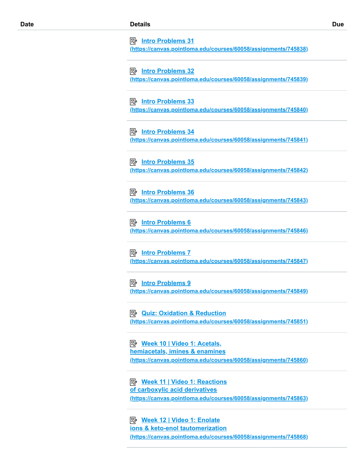**Intro Problems 31**

**[\(https://canvas.pointloma.edu/courses/60058/assignments/745838\)](https://canvas.pointloma.edu/courses/60058/assignments/745838)**

 **Intro Problems 32 [\(https://canvas.pointloma.edu/courses/60058/assignments/745839\)](https://canvas.pointloma.edu/courses/60058/assignments/745839)**

 **Intro Problems 33 [\(https://canvas.pointloma.edu/courses/60058/assignments/745840\)](https://canvas.pointloma.edu/courses/60058/assignments/745840)**

 **Intro Problems 34 [\(https://canvas.pointloma.edu/courses/60058/assignments/745841\)](https://canvas.pointloma.edu/courses/60058/assignments/745841)**

 **Intro Problems 35 [\(https://canvas.pointloma.edu/courses/60058/assignments/745842\)](https://canvas.pointloma.edu/courses/60058/assignments/745842)**

 **Intro Problems 36 [\(https://canvas.pointloma.edu/courses/60058/assignments/745843\)](https://canvas.pointloma.edu/courses/60058/assignments/745843)**

*<u>B</u>* Intro Problems 6 **[\(https://canvas.pointloma.edu/courses/60058/assignments/745846\)](https://canvas.pointloma.edu/courses/60058/assignments/745846)**

 **Intro Problems 7 [\(https://canvas.pointloma.edu/courses/60058/assignments/745847\)](https://canvas.pointloma.edu/courses/60058/assignments/745847)**

 **Intro Problems 9 [\(https://canvas.pointloma.edu/courses/60058/assignments/745849\)](https://canvas.pointloma.edu/courses/60058/assignments/745849)**

**<u> 图 Quiz: Oxidation & Reduction</u> [\(https://canvas.pointloma.edu/courses/60058/assignments/745851\)](https://canvas.pointloma.edu/courses/60058/assignments/745851)**

 **Week 10 | Video 1: Acetals, hemiacetals, imines & enamines [\(https://canvas.pointloma.edu/courses/60058/assignments/745860\)](https://canvas.pointloma.edu/courses/60058/assignments/745860)**

 **Week 11 | Video 1: Reactions of carboxylic acid derivatives [\(https://canvas.pointloma.edu/courses/60058/assignments/745863\)](https://canvas.pointloma.edu/courses/60058/assignments/745863)**

 **Week 12 | Video 1: Enolate ions & keto-enol tautomerization [\(https://canvas.pointloma.edu/courses/60058/assignments/745868\)](https://canvas.pointloma.edu/courses/60058/assignments/745868)**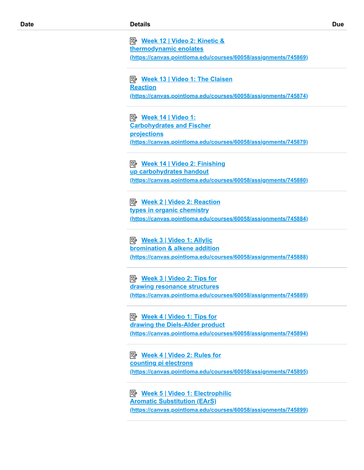**Week 12 | Video 2: Kinetic & thermodynamic enolates [\(https://canvas.pointloma.edu/courses/60058/assignments/745869\)](https://canvas.pointloma.edu/courses/60058/assignments/745869)**

 **Week 13 | Video 1: The Claisen Reaction [\(https://canvas.pointloma.edu/courses/60058/assignments/745874\)](https://canvas.pointloma.edu/courses/60058/assignments/745874)**

 **Week 14 | Video 1: Carbohydrates and Fischer projections [\(https://canvas.pointloma.edu/courses/60058/assignments/745879\)](https://canvas.pointloma.edu/courses/60058/assignments/745879)**

 **Week 14 | Video 2: Finishing up carbohydrates handout [\(https://canvas.pointloma.edu/courses/60058/assignments/745880\)](https://canvas.pointloma.edu/courses/60058/assignments/745880)**

**<u> 图 Week 2 | Video 2: Reaction</u> types in organic chemistry [\(https://canvas.pointloma.edu/courses/60058/assignments/745884\)](https://canvas.pointloma.edu/courses/60058/assignments/745884)**

 **Week 3 | Video 1: Allylic bromination & alkene addition [\(https://canvas.pointloma.edu/courses/60058/assignments/745888\)](https://canvas.pointloma.edu/courses/60058/assignments/745888)**

 **Week 3 | Video 2: Tips for drawing resonance structures [\(https://canvas.pointloma.edu/courses/60058/assignments/745889\)](https://canvas.pointloma.edu/courses/60058/assignments/745889)**

 **Week 4 | Video 1: Tips for drawing the Diels-Alder product [\(https://canvas.pointloma.edu/courses/60058/assignments/745894\)](https://canvas.pointloma.edu/courses/60058/assignments/745894)**

 **Week 4 | Video 2: Rules for counting pi electrons [\(https://canvas.pointloma.edu/courses/60058/assignments/745895\)](https://canvas.pointloma.edu/courses/60058/assignments/745895)**

 **Week 5 | Video 1: Electrophilic Aromatic Substitution (EArS) [\(https://canvas.pointloma.edu/courses/60058/assignments/745899\)](https://canvas.pointloma.edu/courses/60058/assignments/745899)**